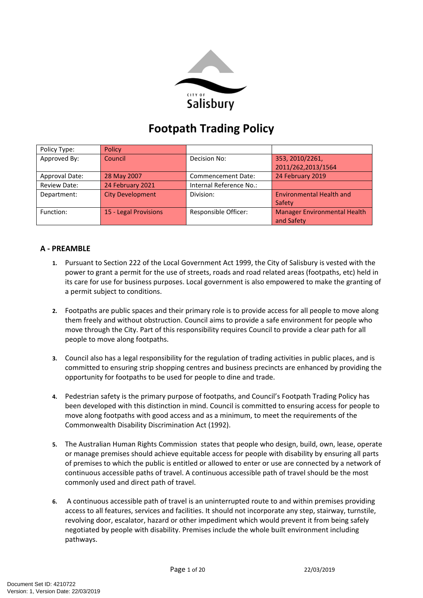

# **Footpath Trading Policy**

| Policy Type:        | Policy                  |                         |                                     |
|---------------------|-------------------------|-------------------------|-------------------------------------|
| Approved By:        | Council                 | Decision No:            | 353, 2010/2261,                     |
|                     |                         |                         | 2011/262,2013/1564                  |
| Approval Date:      | 28 May 2007             | Commencement Date:      | 24 February 2019                    |
| <b>Review Date:</b> | 24 February 2021        | Internal Reference No.: |                                     |
| Department:         | <b>City Development</b> | Division:               | <b>Environmental Health and</b>     |
|                     |                         |                         | Safety                              |
| Function:           | 15 - Legal Provisions   | Responsible Officer:    | <b>Manager Environmental Health</b> |
|                     |                         |                         | and Safety                          |

# **A - PREAMBLE**

- **1.** Pursuant to Section 222 of the Local Government Act 1999, the City of Salisbury is vested with the power to grant a permit for the use of streets, roads and road related areas (footpaths, etc) held in its care for use for business purposes. Local government is also empowered to make the granting of a permit subject to conditions.
- **2.** Footpaths are public spaces and their primary role is to provide access for all people to move along them freely and without obstruction. Council aims to provide a safe environment for people who move through the City. Part of this responsibility requires Council to provide a clear path for all people to move along footpaths.
- **3.** Council also has a legal responsibility for the regulation of trading activities in public places, and is committed to ensuring strip shopping centres and business precincts are enhanced by providing the opportunity for footpaths to be used for people to dine and trade.
- **4.** Pedestrian safety is the primary purpose of footpaths, and Council's Footpath Trading Policy has been developed with this distinction in mind. Council is committed to ensuring access for people to move along footpaths with good access and as a minimum, to meet the requirements of the Commonwealth Disability Discrimination Act (1992).
- **5.** The Australian Human Rights Commission states that people who design, build, own, lease, operate or manage premises should achieve equitable access for people with disability by ensuring all parts of premises to which the public is entitled or allowed to enter or use are connected by a network of continuous accessible paths of travel. A continuous accessible path of travel should be the most commonly used and direct path of travel.
- **6.** A continuous accessible path of travel is an uninterrupted route to and within premises providing access to all features, services and facilities. It should not incorporate any step, stairway, turnstile, revolving door, escalator, hazard or other impediment which would prevent it from being safely negotiated by people with disability. Premises include the whole built environment including pathways.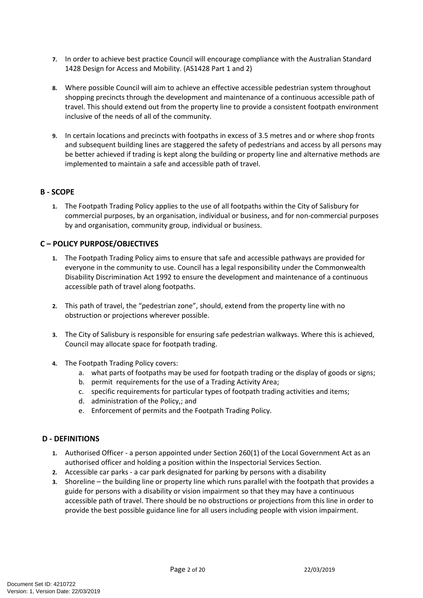- **7.** In order to achieve best practice Council will encourage compliance with the Australian Standard 1428 Design for Access and Mobility. (AS1428 Part 1 and 2)
- **8.** Where possible Council will aim to achieve an effective accessible pedestrian system throughout shopping precincts through the development and maintenance of a continuous accessible path of travel. This should extend out from the property line to provide a consistent footpath environment inclusive of the needs of all of the community.
- **9.** In certain locations and precincts with footpaths in excess of 3.5 metres and or where shop fronts and subsequent building lines are staggered the safety of pedestrians and access by all persons may be better achieved if trading is kept along the building or property line and alternative methods are implemented to maintain a safe and accessible path of travel.

# **B - SCOPE**

**1.** The Footpath Trading Policy applies to the use of all footpaths within the City of Salisbury for commercial purposes, by an organisation, individual or business, and for non-commercial purposes by and organisation, community group, individual or business.

# **C – POLICY PURPOSE/OBJECTIVES**

- **1.** The Footpath Trading Policy aims to ensure that safe and accessible pathways are provided for everyone in the community to use. Council has a legal responsibility under the Commonwealth Disability Discrimination Act 1992 to ensure the development and maintenance of a continuous accessible path of travel along footpaths.
- **2.** This path of travel, the "pedestrian zone", should, extend from the property line with no obstruction or projections wherever possible.
- **3.** The City of Salisbury is responsible for ensuring safe pedestrian walkways. Where this is achieved, Council may allocate space for footpath trading.
- **4.** The Footpath Trading Policy covers:
	- a. what parts of footpaths may be used for footpath trading or the display of goods or signs;
	- b. permit requirements for the use of a Trading Activity Area;
	- c. specific requirements for particular types of footpath trading activities and items;
	- d. administration of the Policy,; and
	- e. Enforcement of permits and the Footpath Trading Policy.

# **D - DEFINITIONS**

- **1.** Authorised Officer a person appointed under Section 260(1) of the Local Government Act as an authorised officer and holding a position within the Inspectorial Services Section.
- **2.** Accessible car parks a car park designated for parking by persons with a disability
- **3.** Shoreline the building line or property line which runs parallel with the footpath that provides a guide for persons with a disability or vision impairment so that they may have a continuous accessible path of travel. There should be no obstructions or projections from this line in order to provide the best possible guidance line for all users including people with vision impairment.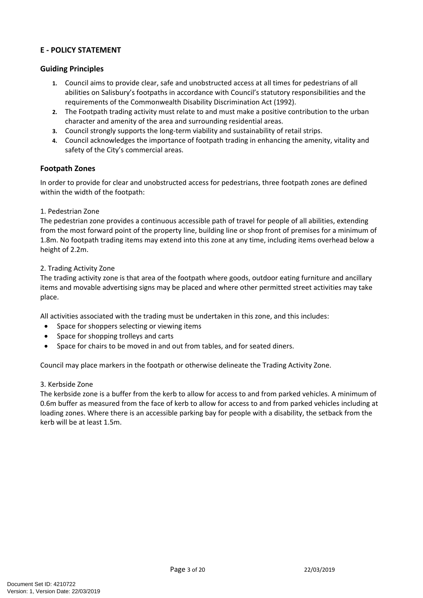## **E - POLICY STATEMENT**

## **Guiding Principles**

- **1.** Council aims to provide clear, safe and unobstructed access at all times for pedestrians of all abilities on Salisbury's footpaths in accordance with Council's statutory responsibilities and the requirements of the Commonwealth Disability Discrimination Act (1992).
- **2.** The Footpath trading activity must relate to and must make a positive contribution to the urban character and amenity of the area and surrounding residential areas.
- **3.** Council strongly supports the long-term viability and sustainability of retail strips.
- **4.** Council acknowledges the importance of footpath trading in enhancing the amenity, vitality and safety of the City's commercial areas.

# **Footpath Zones**

In order to provide for clear and unobstructed access for pedestrians, three footpath zones are defined within the width of the footpath:

## 1. Pedestrian Zone

The pedestrian zone provides a continuous accessible path of travel for people of all abilities, extending from the most forward point of the property line, building line or shop front of premises for a minimum of 1.8m. No footpath trading items may extend into this zone at any time, including items overhead below a height of 2.2m.

#### 2. Trading Activity Zone

The trading activity zone is that area of the footpath where goods, outdoor eating furniture and ancillary items and movable advertising signs may be placed and where other permitted street activities may take place.

All activities associated with the trading must be undertaken in this zone, and this includes:

- Space for shoppers selecting or viewing items
- Space for shopping trolleys and carts
- Space for chairs to be moved in and out from tables, and for seated diners.

Council may place markers in the footpath or otherwise delineate the Trading Activity Zone.

#### 3. Kerbside Zone

The kerbside zone is a buffer from the kerb to allow for access to and from parked vehicles. A minimum of 0.6m buffer as measured from the face of kerb to allow for access to and from parked vehicles including at loading zones. Where there is an accessible parking bay for people with a disability, the setback from the kerb will be at least 1.5m.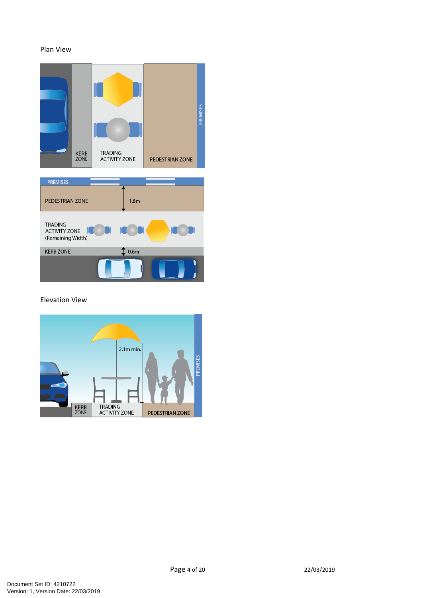#### Plan View



#### Elevation View

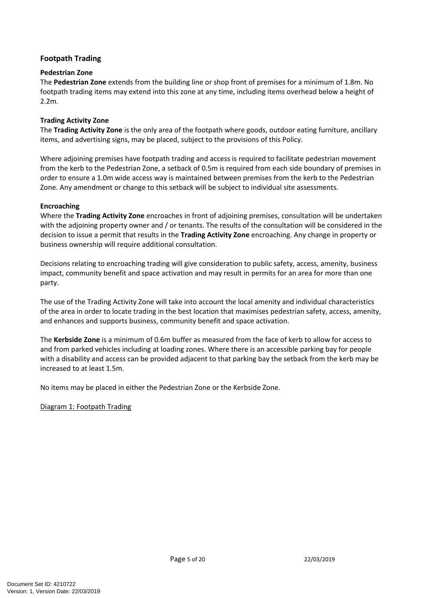# **Footpath Trading**

## **Pedestrian Zone**

The **Pedestrian Zone** extends from the building line or shop front of premises for a minimum of 1.8m. No footpath trading items may extend into this zone at any time, including items overhead below a height of 2.2m.

## **Trading Activity Zone**

The **Trading Activity Zone** is the only area of the footpath where goods, outdoor eating furniture, ancillary items, and advertising signs, may be placed, subject to the provisions of this Policy.

Where adjoining premises have footpath trading and access is required to facilitate pedestrian movement from the kerb to the Pedestrian Zone, a setback of 0.5m is required from each side boundary of premises in order to ensure a 1.0m wide access way is maintained between premises from the kerb to the Pedestrian Zone. Any amendment or change to this setback will be subject to individual site assessments.

## **Encroaching**

Where the **Trading Activity Zone** encroaches in front of adjoining premises, consultation will be undertaken with the adjoining property owner and / or tenants. The results of the consultation will be considered in the decision to issue a permit that results in the **Trading Activity Zone** encroaching. Any change in property or business ownership will require additional consultation.

Decisions relating to encroaching trading will give consideration to public safety, access, amenity, business impact, community benefit and space activation and may result in permits for an area for more than one party.

The use of the Trading Activity Zone will take into account the local amenity and individual characteristics of the area in order to locate trading in the best location that maximises pedestrian safety, access, amenity, and enhances and supports business, community benefit and space activation.

The **Kerbside Zone** is a minimum of 0.6m buffer as measured from the face of kerb to allow for access to and from parked vehicles including at loading zones. Where there is an accessible parking bay for people with a disability and access can be provided adjacent to that parking bay the setback from the kerb may be increased to at least 1.5m.

No items may be placed in either the Pedestrian Zone or the Kerbside Zone.

## Diagram 1: Footpath Trading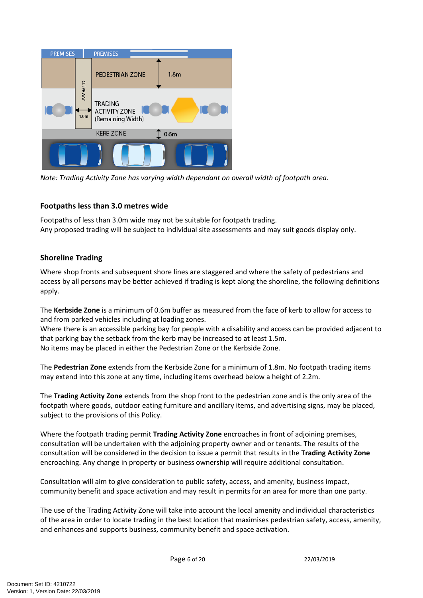| <b>PREMISES</b>          |                                     | <b>PREMISES</b>                                             |  |
|--------------------------|-------------------------------------|-------------------------------------------------------------|--|
|                          |                                     | PEDESTRIAN ZONE<br>1.8 <sub>m</sub>                         |  |
|                          | <b>CLEARWAY</b><br>1.0 <sub>m</sub> | <b>TRADING</b><br><b>ACTIVITY ZONE</b><br>(Remaining Width) |  |
| <b>KERB ZONE</b><br>0.6m |                                     |                                                             |  |
|                          |                                     |                                                             |  |

*Note: Trading Activity Zone has varying width dependant on overall width of footpath area.*

# **Footpaths less than 3.0 metres wide**

Footpaths of less than 3.0m wide may not be suitable for footpath trading. Any proposed trading will be subject to individual site assessments and may suit goods display only.

# **Shoreline Trading**

Where shop fronts and subsequent shore lines are staggered and where the safety of pedestrians and access by all persons may be better achieved if trading is kept along the shoreline, the following definitions apply.

The **Kerbside Zone** is a minimum of 0.6m buffer as measured from the face of kerb to allow for access to and from parked vehicles including at loading zones.

Where there is an accessible parking bay for people with a disability and access can be provided adjacent to that parking bay the setback from the kerb may be increased to at least 1.5m. No items may be placed in either the Pedestrian Zone or the Kerbside Zone.

The **Pedestrian Zone** extends from the Kerbside Zone for a minimum of 1.8m. No footpath trading items may extend into this zone at any time, including items overhead below a height of 2.2m.

The **Trading Activity Zone** extends from the shop front to the pedestrian zone and is the only area of the footpath where goods, outdoor eating furniture and ancillary items, and advertising signs, may be placed, subject to the provisions of this Policy.

Where the footpath trading permit **Trading Activity Zone** encroaches in front of adjoining premises, consultation will be undertaken with the adjoining property owner and or tenants. The results of the consultation will be considered in the decision to issue a permit that results in the **Trading Activity Zone** encroaching. Any change in property or business ownership will require additional consultation.

Consultation will aim to give consideration to public safety, access, and amenity, business impact, community benefit and space activation and may result in permits for an area for more than one party.

The use of the Trading Activity Zone will take into account the local amenity and individual characteristics of the area in order to locate trading in the best location that maximises pedestrian safety, access, amenity, and enhances and supports business, community benefit and space activation.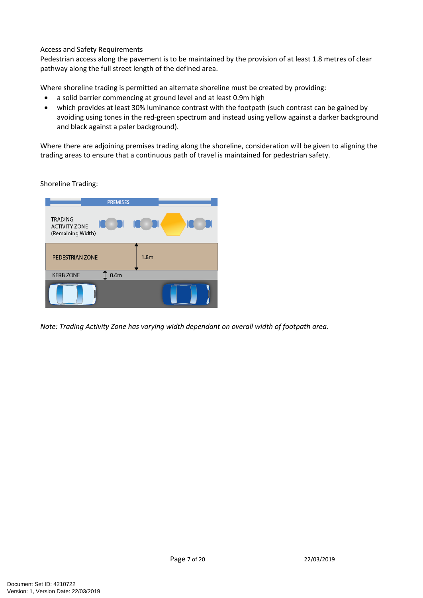#### Access and Safety Requirements

Pedestrian access along the pavement is to be maintained by the provision of at least 1.8 metres of clear pathway along the full street length of the defined area.

Where shoreline trading is permitted an alternate shoreline must be created by providing:

- a solid barrier commencing at ground level and at least 0.9m high
- which provides at least 30% luminance contrast with the footpath (such contrast can be gained by avoiding using tones in the red-green spectrum and instead using yellow against a darker background and black against a paler background).

Where there are adjoining premises trading along the shoreline, consideration will be given to aligning the trading areas to ensure that a continuous path of travel is maintained for pedestrian safety.

Shoreline Trading:



*Note: Trading Activity Zone has varying width dependant on overall width of footpath area.*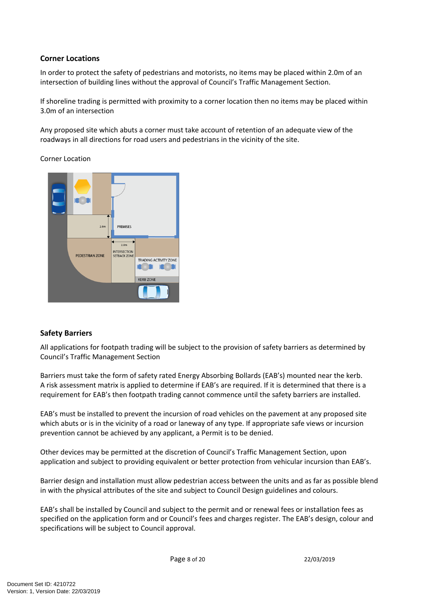## **Corner Locations**

In order to protect the safety of pedestrians and motorists, no items may be placed within 2.0m of an intersection of building lines without the approval of Council's Traffic Management Section.

If shoreline trading is permitted with proximity to a corner location then no items may be placed within 3.0m of an intersection

Any proposed site which abuts a corner must take account of retention of an adequate view of the roadways in all directions for road users and pedestrians in the vicinity of the site.

Corner Location



# **Safety Barriers**

All applications for footpath trading will be subject to the provision of safety barriers as determined by Council's Traffic Management Section

Barriers must take the form of safety rated Energy Absorbing Bollards (EAB's) mounted near the kerb. A risk assessment matrix is applied to determine if EAB's are required. If it is determined that there is a requirement for EAB's then footpath trading cannot commence until the safety barriers are installed.

EAB's must be installed to prevent the incursion of road vehicles on the pavement at any proposed site which abuts or is in the vicinity of a road or laneway of any type. If appropriate safe views or incursion prevention cannot be achieved by any applicant, a Permit is to be denied.

Other devices may be permitted at the discretion of Council's Traffic Management Section, upon application and subject to providing equivalent or better protection from vehicular incursion than EAB's.

Barrier design and installation must allow pedestrian access between the units and as far as possible blend in with the physical attributes of the site and subject to Council Design guidelines and colours.

EAB's shall be installed by Council and subject to the permit and or renewal fees or installation fees as specified on the application form and or Council's fees and charges register. The EAB's design, colour and specifications will be subject to Council approval.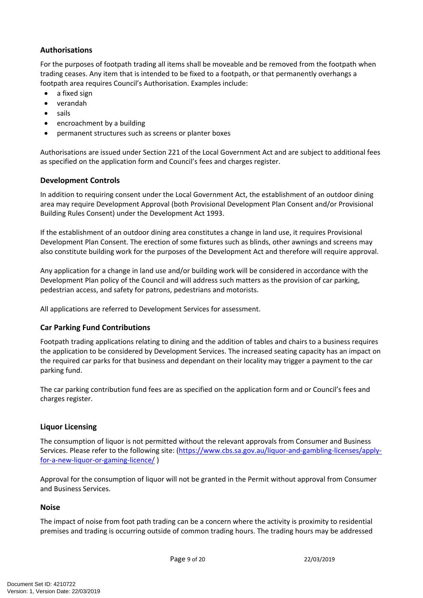# **Authorisations**

For the purposes of footpath trading all items shall be moveable and be removed from the footpath when trading ceases. Any item that is intended to be fixed to a footpath, or that permanently overhangs a footpath area requires Council's Authorisation. Examples include:

- a fixed sign
- verandah
- sails
- encroachment by a building
- permanent structures such as screens or planter boxes

Authorisations are issued under Section 221 of the Local Government Act and are subject to additional fees as specified on the application form and Council's fees and charges register.

# **Development Controls**

In addition to requiring consent under the Local Government Act, the establishment of an outdoor dining area may require Development Approval (both Provisional Development Plan Consent and/or Provisional Building Rules Consent) under the Development Act 1993.

If the establishment of an outdoor dining area constitutes a change in land use, it requires Provisional Development Plan Consent. The erection of some fixtures such as blinds, other awnings and screens may also constitute building work for the purposes of the Development Act and therefore will require approval.

Any application for a change in land use and/or building work will be considered in accordance with the Development Plan policy of the Council and will address such matters as the provision of car parking, pedestrian access, and safety for patrons, pedestrians and motorists.

All applications are referred to Development Services for assessment.

## **Car Parking Fund Contributions**

Footpath trading applications relating to dining and the addition of tables and chairs to a business requires the application to be considered by Development Services. The increased seating capacity has an impact on the required car parks for that business and dependant on their locality may trigger a payment to the car parking fund.

The car parking contribution fund fees are as specified on the application form and or Council's fees and charges register.

## **Liquor Licensing**

The consumption of liquor is not permitted without the relevant approvals from Consumer and Business Services. Please refer to the following site: ([https://www.cbs.sa.gov.au/liquor-and-gambling-licenses/apply](https://www.cbs.sa.gov.au/liquor-and-gambling-licenses/apply-for-a-new-liquor-or-gaming-licence/)[for-a-new-liquor-or-gaming-licence/](https://www.cbs.sa.gov.au/liquor-and-gambling-licenses/apply-for-a-new-liquor-or-gaming-licence/) )

Approval for the consumption of liquor will not be granted in the Permit without approval from Consumer and Business Services.

## **Noise**

The impact of noise from foot path trading can be a concern where the activity is proximity to residential premises and trading is occurring outside of common trading hours. The trading hours may be addressed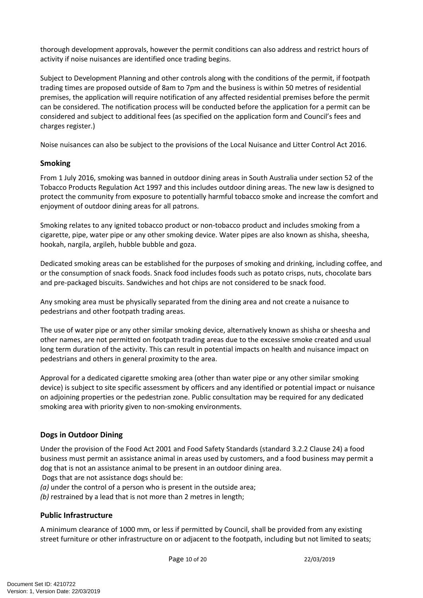thorough development approvals, however the permit conditions can also address and restrict hours of activity if noise nuisances are identified once trading begins.

Subject to Development Planning and other controls along with the conditions of the permit, if footpath trading times are proposed outside of 8am to 7pm and the business is within 50 metres of residential premises, the application will require notification of any affected residential premises before the permit can be considered. The notification process will be conducted before the application for a permit can be considered and subject to additional fees (as specified on the application form and Council's fees and charges register.)

Noise nuisances can also be subject to the provisions of the Local Nuisance and Litter Control Act 2016.

# **Smoking**

From 1 July 2016, smoking was banned in outdoor dining areas in South Australia under section 52 of the Tobacco Products Regulation Act 1997 and this includes outdoor dining areas. The new law is designed to protect the community from exposure to potentially harmful tobacco smoke and increase the comfort and enjoyment of outdoor dining areas for all patrons.

Smoking relates to any ignited tobacco product or non-tobacco product and includes smoking from a cigarette, pipe, water pipe or any other smoking device. Water pipes are also known as shisha, sheesha, hookah, nargila, argileh, hubble bubble and goza.

Dedicated smoking areas can be established for the purposes of smoking and drinking, including coffee, and or the consumption of snack foods. Snack food includes foods such as potato crisps, nuts, chocolate bars and pre-packaged biscuits. Sandwiches and hot chips are not considered to be snack food.

Any smoking area must be physically separated from the dining area and not create a nuisance to pedestrians and other footpath trading areas.

The use of water pipe or any other similar smoking device, alternatively known as shisha or sheesha and other names, are not permitted on footpath trading areas due to the excessive smoke created and usual long term duration of the activity. This can result in potential impacts on health and nuisance impact on pedestrians and others in general proximity to the area.

Approval for a dedicated cigarette smoking area (other than water pipe or any other similar smoking device) is subject to site specific assessment by officers and any identified or potential impact or nuisance on adjoining properties or the pedestrian zone. Public consultation may be required for any dedicated smoking area with priority given to non-smoking environments.

# **Dogs in Outdoor Dining**

Under the provision of the Food Act 2001 and Food Safety Standards (standard 3.2.2 Clause 24) a food business must permit an assistance animal in areas used by customers, and a food business may permit a dog that is not an assistance animal to be present in an outdoor dining area.

Dogs that are not assistance dogs should be:

*(a)* under the control of a person who is present in the outside area;

*(b)* restrained by a lead that is not more than 2 metres in length;

# **Public Infrastructure**

A minimum clearance of 1000 mm, or less if permitted by Council, shall be provided from any existing street furniture or other infrastructure on or adjacent to the footpath, including but not limited to seats;

Page 10 of 20 22/03/2019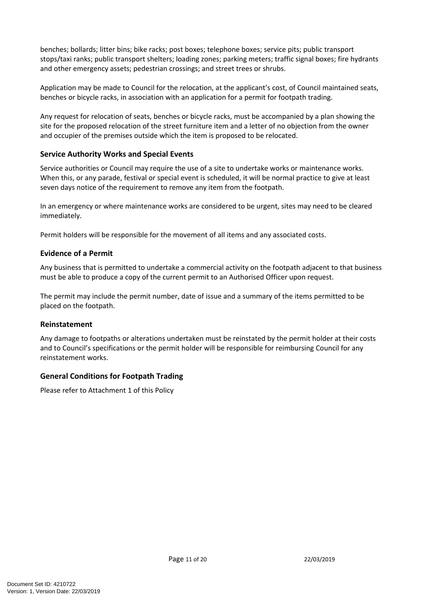benches; bollards; litter bins; bike racks; post boxes; telephone boxes; service pits; public transport stops/taxi ranks; public transport shelters; loading zones; parking meters; traffic signal boxes; fire hydrants and other emergency assets; pedestrian crossings; and street trees or shrubs.

Application may be made to Council for the relocation, at the applicant's cost, of Council maintained seats, benches or bicycle racks, in association with an application for a permit for footpath trading.

Any request for relocation of seats, benches or bicycle racks, must be accompanied by a plan showing the site for the proposed relocation of the street furniture item and a letter of no objection from the owner and occupier of the premises outside which the item is proposed to be relocated.

# **Service Authority Works and Special Events**

Service authorities or Council may require the use of a site to undertake works or maintenance works. When this, or any parade, festival or special event is scheduled, it will be normal practice to give at least seven days notice of the requirement to remove any item from the footpath.

In an emergency or where maintenance works are considered to be urgent, sites may need to be cleared immediately.

Permit holders will be responsible for the movement of all items and any associated costs.

## **Evidence of a Permit**

Any business that is permitted to undertake a commercial activity on the footpath adjacent to that business must be able to produce a copy of the current permit to an Authorised Officer upon request.

The permit may include the permit number, date of issue and a summary of the items permitted to be placed on the footpath.

## **Reinstatement**

Any damage to footpaths or alterations undertaken must be reinstated by the permit holder at their costs and to Council's specifications or the permit holder will be responsible for reimbursing Council for any reinstatement works.

## **General Conditions for Footpath Trading**

Please refer to Attachment 1 of this Policy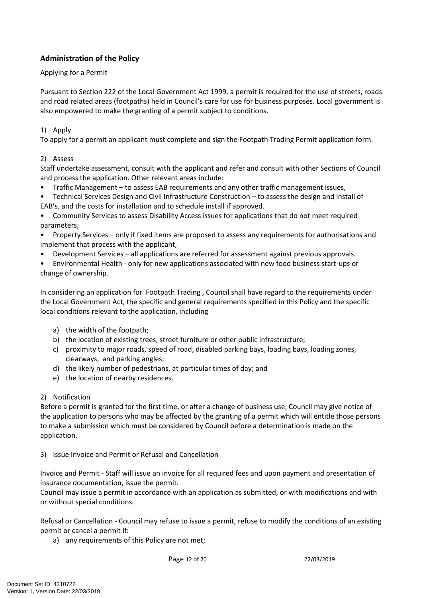# **Administration of the Policy**

## Applying for a Permit

Pursuant to Section 222 of the Local Government Act 1999, a permit is required for the use of streets, roads and road related areas (footpaths) held in Council's care for use for business purposes. Local government is also empowered to make the granting of a permit subject to conditions.

## 1) Apply

To apply for a permit an applicant must complete and sign the Footpath Trading Permit application form.

## 2) Assess

Staff undertake assessment, consult with the applicant and refer and consult with other Sections of Council and process the application. Other relevant areas include:

- Traffic Management to assess EAB requirements and any other traffic management issues,
- Technical Services Design and Civil Infrastructure Construction to assess the design and install of EAB's, and the costs for installation and to schedule install if approved.

• Community Services to assess Disability Access issues for applications that do not meet required parameters,

- Property Services only if fixed items are proposed to assess any requirements for authorisations and implement that process with the applicant,
- Development Services all applications are referred for assessment against previous approvals.
- Environmental Health only for new applications associated with new food business start-ups or change of ownership.

In considering an application for Footpath Trading , Council shall have regard to the requirements under the Local Government Act, the specific and general requirements specified in this Policy and the specific local conditions relevant to the application, including

- a) the width of the footpath;
- b) the location of existing trees, street furniture or other public infrastructure;
- c) proximity to major roads, speed of road, disabled parking bays, loading bays, loading zones, clearways, and parking angles;
- d) the likely number of pedestrians, at particular times of day; and
- e) the location of nearby residences.

## 2) Notification

Before a permit is granted for the first time, or after a change of business use, Council may give notice of the application to persons who may be affected by the granting of a permit which will entitle those persons to make a submission which must be considered by Council before a determination is made on the application.

3) Issue Invoice and Permit or Refusal and Cancellation

Invoice and Permit - Staff will issue an invoice for all required fees and upon payment and presentation of insurance documentation, issue the permit.

Council may issue a permit in accordance with an application as submitted, or with modifications and with or without special conditions.

Refusal or Cancellation - Council may refuse to issue a permit, refuse to modify the conditions of an existing permit or cancel a permit if:

a) any requirements of this Policy are not met;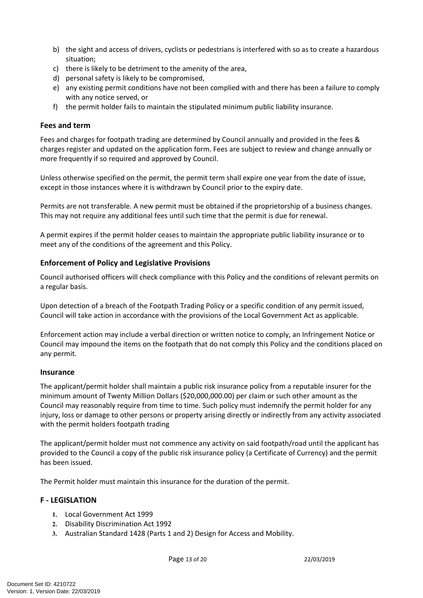- b) the sight and access of drivers, cyclists or pedestrians is interfered with so as to create a hazardous situation;
- c) there is likely to be detriment to the amenity of the area,
- d) personal safety is likely to be compromised,
- e) any existing permit conditions have not been complied with and there has been a failure to comply with any notice served, or
- f) the permit holder fails to maintain the stipulated minimum public liability insurance.

#### **Fees and term**

Fees and charges for footpath trading are determined by Council annually and provided in the fees & charges register and updated on the application form. Fees are subject to review and change annually or more frequently if so required and approved by Council.

Unless otherwise specified on the permit, the permit term shall expire one year from the date of issue, except in those instances where it is withdrawn by Council prior to the expiry date.

Permits are not transferable. A new permit must be obtained if the proprietorship of a business changes. This may not require any additional fees until such time that the permit is due for renewal.

A permit expires if the permit holder ceases to maintain the appropriate public liability insurance or to meet any of the conditions of the agreement and this Policy.

## **Enforcement of Policy and Legislative Provisions**

Council authorised officers will check compliance with this Policy and the conditions of relevant permits on a regular basis.

Upon detection of a breach of the Footpath Trading Policy or a specific condition of any permit issued, Council will take action in accordance with the provisions of the Local Government Act as applicable.

Enforcement action may include a verbal direction or written notice to comply, an Infringement Notice or Council may impound the items on the footpath that do not comply this Policy and the conditions placed on any permit.

## **Insurance**

The applicant/permit holder shall maintain a public risk insurance policy from a reputable insurer for the minimum amount of Twenty Million Dollars (\$20,000,000.00) per claim or such other amount as the Council may reasonably require from time to time. Such policy must indemnify the permit holder for any injury, loss or damage to other persons or property arising directly or indirectly from any activity associated with the permit holders footpath trading

The applicant/permit holder must not commence any activity on said footpath/road until the applicant has provided to the Council a copy of the public risk insurance policy (a Certificate of Currency) and the permit has been issued.

The Permit holder must maintain this insurance for the duration of the permit.

## **F - LEGISLATION**

- **1.** Local Government Act 1999
- **2.** Disability Discrimination Act 1992
- **3.** Australian Standard 1428 (Parts 1 and 2) Design for Access and Mobility.

Page 13 of 20 22/03/2019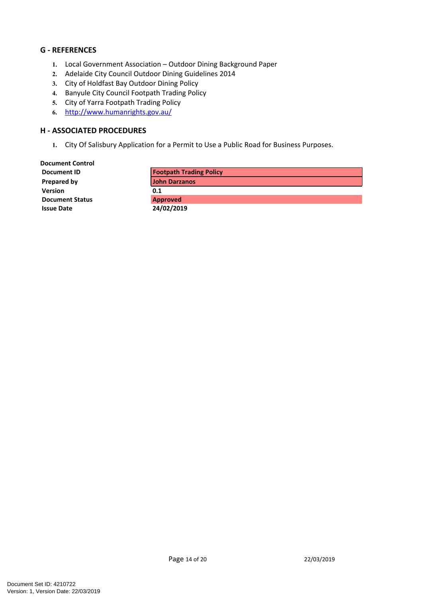## **G - REFERENCES**

- **1.** Local Government Association Outdoor Dining Background Paper
- **2.** Adelaide City Council Outdoor Dining Guidelines 2014
- **3.** City of Holdfast Bay Outdoor Dining Policy
- **4.** Banyule City Council Footpath Trading Policy
- **5.** City of Yarra Footpath Trading Policy
- **6.** <http://www.humanrights.gov.au/>

## **H - ASSOCIATED PROCEDURES**

**1.** City Of Salisbury Application for a Permit to Use a Public Road for Business Purposes.

| <b>Document Control</b> |                                |
|-------------------------|--------------------------------|
| Document ID             | <b>Footpath Trading Policy</b> |
| Prepared by             | <b>John Darzanos</b>           |
| <b>Version</b>          | 0.1                            |
| <b>Document Status</b>  | <b>Approved</b>                |
| <b>Issue Date</b>       | 24/02/2019                     |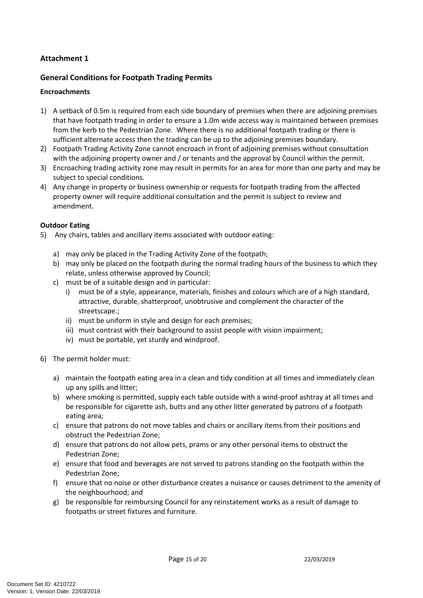# **Attachment 1**

# **General Conditions for Footpath Trading Permits**

## **Encroachments**

- 1) A setback of 0.5m is required from each side boundary of premises when there are adjoining premises that have footpath trading in order to ensure a 1.0m wide access way is maintained between premises from the kerb to the Pedestrian Zone. Where there is no additional footpath trading or there is sufficient alternate access then the trading can be up to the adjoining premises boundary.
- 2) Footpath Trading Activity Zone cannot encroach in front of adjoining premises without consultation with the adjoining property owner and / or tenants and the approval by Council within the permit.
- 3) Encroaching trading activity zone may result in permits for an area for more than one party and may be subject to special conditions.
- 4) Any change in property or business ownership or requests for footpath trading from the affected property owner will require additional consultation and the permit is subject to review and amendment.

#### **Outdoor Eating**

- 5) Any chairs, tables and ancillary items associated with outdoor eating:
	- a) may only be placed in the Trading Activity Zone of the footpath;
	- b) may only be placed on the footpath during the normal trading hours of the business to which they relate, unless otherwise approved by Council;
	- c) must be of a suitable design and in particular:
		- i) must be of a style, appearance, materials, finishes and colours which are of a high standard, attractive, durable, shatterproof, unobtrusive and complement the character of the streetscape.;
		- ii) must be uniform in style and design for each premises;
		- iii) must contrast with their background to assist people with vision impairment;
		- iv) must be portable, yet sturdy and windproof.
- 6) The permit holder must:
	- a) maintain the footpath eating area in a clean and tidy condition at all times and immediately clean up any spills and litter;
	- b) where smoking is permitted, supply each table outside with a wind-proof ashtray at all times and be responsible for cigarette ash, butts and any other litter generated by patrons of a footpath eating area;
	- c) ensure that patrons do not move tables and chairs or ancillary items from their positions and obstruct the Pedestrian Zone;
	- d) ensure that patrons do not allow pets, prams or any other personal items to obstruct the Pedestrian Zone;
	- e) ensure that food and beverages are not served to patrons standing on the footpath within the Pedestrian Zone;
	- f) ensure that no noise or other disturbance creates a nuisance or causes detriment to the amenity of the neighbourhood; and
	- g) be responsible for reimbursing Council for any reinstatement works as a result of damage to footpaths or street fixtures and furniture.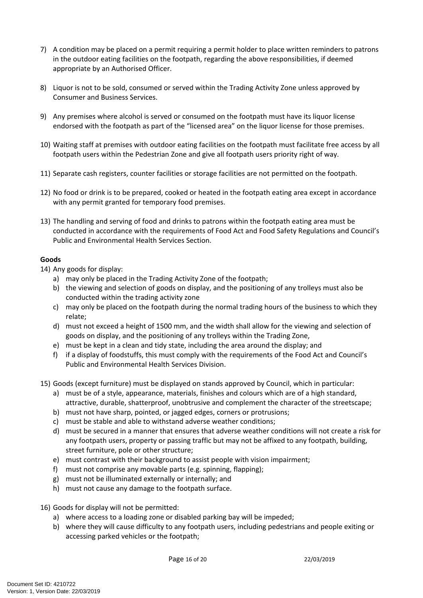- 7) A condition may be placed on a permit requiring a permit holder to place written reminders to patrons in the outdoor eating facilities on the footpath, regarding the above responsibilities, if deemed appropriate by an Authorised Officer.
- 8) Liquor is not to be sold, consumed or served within the Trading Activity Zone unless approved by Consumer and Business Services.
- 9) Any premises where alcohol is served or consumed on the footpath must have its liquor license endorsed with the footpath as part of the "licensed area" on the liquor license for those premises.
- 10) Waiting staff at premises with outdoor eating facilities on the footpath must facilitate free access by all footpath users within the Pedestrian Zone and give all footpath users priority right of way.
- 11) Separate cash registers, counter facilities or storage facilities are not permitted on the footpath.
- 12) No food or drink is to be prepared, cooked or heated in the footpath eating area except in accordance with any permit granted for temporary food premises.
- 13) The handling and serving of food and drinks to patrons within the footpath eating area must be conducted in accordance with the requirements of Food Act and Food Safety Regulations and Council's Public and Environmental Health Services Section.

# **Goods**

14) Any goods for display:

- a) may only be placed in the Trading Activity Zone of the footpath;
- b) the viewing and selection of goods on display, and the positioning of any trolleys must also be conducted within the trading activity zone
- c) may only be placed on the footpath during the normal trading hours of the business to which they relate;
- d) must not exceed a height of 1500 mm, and the width shall allow for the viewing and selection of goods on display, and the positioning of any trolleys within the Trading Zone,
- e) must be kept in a clean and tidy state, including the area around the display; and
- f) if a display of foodstuffs, this must comply with the requirements of the Food Act and Council's Public and Environmental Health Services Division.
- 15) Goods (except furniture) must be displayed on stands approved by Council, which in particular:
	- a) must be of a style, appearance, materials, finishes and colours which are of a high standard, attractive, durable, shatterproof, unobtrusive and complement the character of the streetscape;
	- b) must not have sharp, pointed, or jagged edges, corners or protrusions;
	- c) must be stable and able to withstand adverse weather conditions;
	- d) must be secured in a manner that ensures that adverse weather conditions will not create a risk for any footpath users, property or passing traffic but may not be affixed to any footpath, building, street furniture, pole or other structure;
	- e) must contrast with their background to assist people with vision impairment;
	- f) must not comprise any movable parts (e.g. spinning, flapping);
	- g) must not be illuminated externally or internally; and
	- h) must not cause any damage to the footpath surface.
- 16) Goods for display will not be permitted:
	- a) where access to a loading zone or disabled parking bay will be impeded;
	- b) where they will cause difficulty to any footpath users, including pedestrians and people exiting or accessing parked vehicles or the footpath;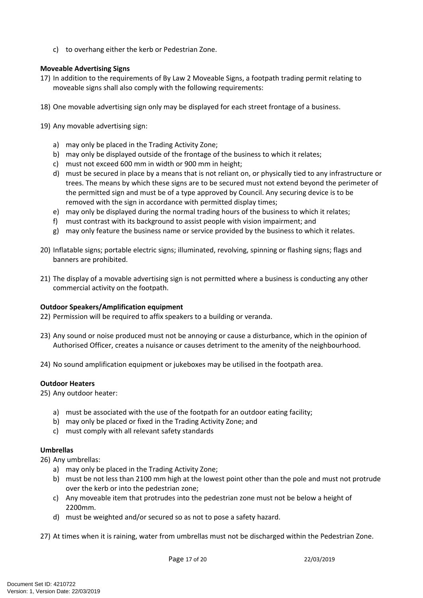c) to overhang either the kerb or Pedestrian Zone.

## **Moveable Advertising Signs**

- 17) In addition to the requirements of By Law 2 Moveable Signs, a footpath trading permit relating to moveable signs shall also comply with the following requirements:
- 18) One movable advertising sign only may be displayed for each street frontage of a business.
- 19) Any movable advertising sign:
	- a) may only be placed in the Trading Activity Zone;
	- b) may only be displayed outside of the frontage of the business to which it relates;
	- c) must not exceed 600 mm in width or 900 mm in height;
	- d) must be secured in place by a means that is not reliant on, or physically tied to any infrastructure or trees. The means by which these signs are to be secured must not extend beyond the perimeter of the permitted sign and must be of a type approved by Council. Any securing device is to be removed with the sign in accordance with permitted display times;
	- e) may only be displayed during the normal trading hours of the business to which it relates;
	- f) must contrast with its background to assist people with vision impairment; and
	- g) may only feature the business name or service provided by the business to which it relates.
- 20) Inflatable signs; portable electric signs; illuminated, revolving, spinning or flashing signs; flags and banners are prohibited.
- 21) The display of a movable advertising sign is not permitted where a business is conducting any other commercial activity on the footpath.

#### **Outdoor Speakers/Amplification equipment**

22) Permission will be required to affix speakers to a building or veranda.

- 23) Any sound or noise produced must not be annoying or cause a disturbance, which in the opinion of Authorised Officer, creates a nuisance or causes detriment to the amenity of the neighbourhood.
- 24) No sound amplification equipment or jukeboxes may be utilised in the footpath area.

#### **Outdoor Heaters**

25) Any outdoor heater:

- a) must be associated with the use of the footpath for an outdoor eating facility;
- b) may only be placed or fixed in the Trading Activity Zone; and
- c) must comply with all relevant safety standards

#### **Umbrellas**

26) Any umbrellas:

- a) may only be placed in the Trading Activity Zone;
- b) must be not less than 2100 mm high at the lowest point other than the pole and must not protrude over the kerb or into the pedestrian zone;
- c) Any moveable item that protrudes into the pedestrian zone must not be below a height of 2200mm.
- d) must be weighted and/or secured so as not to pose a safety hazard.

27) At times when it is raining, water from umbrellas must not be discharged within the Pedestrian Zone.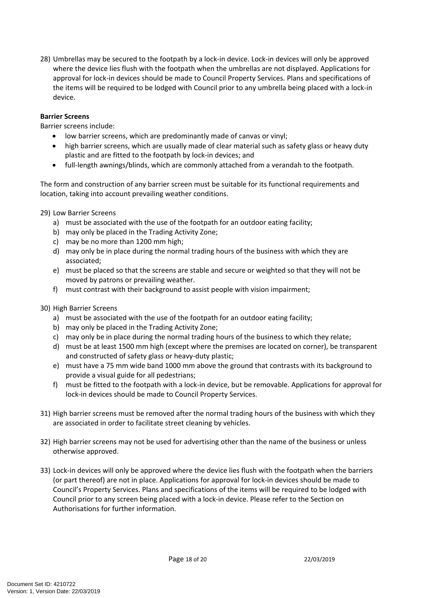28) Umbrellas may be secured to the footpath by a lock-in device. Lock-in devices will only be approved where the device lies flush with the footpath when the umbrellas are not displayed. Applications for approval for lock-in devices should be made to Council Property Services. Plans and specifications of the items will be required to be lodged with Council prior to any umbrella being placed with a lock-in device.

#### **Barrier Screens**

Barrier screens include:

- low barrier screens, which are predominantly made of canvas or vinyl;
- high barrier screens, which are usually made of clear material such as safety glass or heavy duty plastic and are fitted to the footpath by lock-in devices; and
- full-length awnings/blinds, which are commonly attached from a verandah to the footpath.

The form and construction of any barrier screen must be suitable for its functional requirements and location, taking into account prevailing weather conditions.

29) Low Barrier Screens

- a) must be associated with the use of the footpath for an outdoor eating facility;
- b) may only be placed in the Trading Activity Zone;
- c) may be no more than 1200 mm high;
- d) may only be in place during the normal trading hours of the business with which they are associated;
- e) must be placed so that the screens are stable and secure or weighted so that they will not be moved by patrons or prevailing weather.
- f) must contrast with their background to assist people with vision impairment;
- 30) High Barrier Screens
	- a) must be associated with the use of the footpath for an outdoor eating facility;
	- b) may only be placed in the Trading Activity Zone;
	- c) may only be in place during the normal trading hours of the business to which they relate;
	- d) must be at least 1500 mm high (except where the premises are located on corner), be transparent and constructed of safety glass or heavy-duty plastic;
	- e) must have a 75 mm wide band 1000 mm above the ground that contrasts with its background to provide a visual guide for all pedestrians;
	- f) must be fitted to the footpath with a lock-in device, but be removable. Applications for approval for lock-in devices should be made to Council Property Services.
- 31) High barrier screens must be removed after the normal trading hours of the business with which they are associated in order to facilitate street cleaning by vehicles.
- 32) High barrier screens may not be used for advertising other than the name of the business or unless otherwise approved.
- 33) Lock-in devices will only be approved where the device lies flush with the footpath when the barriers (or part thereof) are not in place. Applications for approval for lock-in devices should be made to Council's Property Services. Plans and specifications of the items will be required to be lodged with Council prior to any screen being placed with a lock-in device. Please refer to the Section on Authorisations for further information.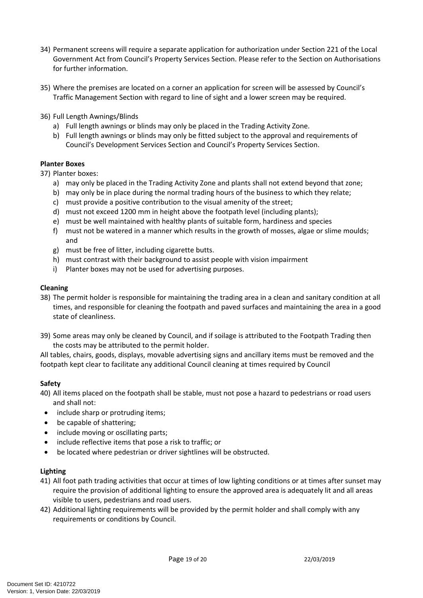- 34) Permanent screens will require a separate application for authorization under Section 221 of the Local Government Act from Council's Property Services Section. Please refer to the Section on Authorisations for further information.
- 35) Where the premises are located on a corner an application for screen will be assessed by Council's Traffic Management Section with regard to line of sight and a lower screen may be required.
- 36) Full Length Awnings/Blinds
	- a) Full length awnings or blinds may only be placed in the Trading Activity Zone.
	- b) Full length awnings or blinds may only be fitted subject to the approval and requirements of Council's Development Services Section and Council's Property Services Section.

#### **Planter Boxes**

37) Planter boxes:

- a) may only be placed in the Trading Activity Zone and plants shall not extend beyond that zone;
- b) may only be in place during the normal trading hours of the business to which they relate;
- c) must provide a positive contribution to the visual amenity of the street;
- d) must not exceed 1200 mm in height above the footpath level (including plants);
- e) must be well maintained with healthy plants of suitable form, hardiness and species
- f) must not be watered in a manner which results in the growth of mosses, algae or slime moulds; and
- g) must be free of litter, including cigarette butts.
- h) must contrast with their background to assist people with vision impairment
- i) Planter boxes may not be used for advertising purposes.

#### **Cleaning**

- 38) The permit holder is responsible for maintaining the trading area in a clean and sanitary condition at all times, and responsible for cleaning the footpath and paved surfaces and maintaining the area in a good state of cleanliness.
- 39) Some areas may only be cleaned by Council, and if soilage is attributed to the Footpath Trading then the costs may be attributed to the permit holder.

All tables, chairs, goods, displays, movable advertising signs and ancillary items must be removed and the footpath kept clear to facilitate any additional Council cleaning at times required by Council

#### **Safety**

- 40) All items placed on the footpath shall be stable, must not pose a hazard to pedestrians or road users and shall not:
- include sharp or protruding items;
- be capable of shattering;
- include moving or oscillating parts;
- include reflective items that pose a risk to traffic; or
- be located where pedestrian or driver sightlines will be obstructed.

#### **Lighting**

- 41) All foot path trading activities that occur at times of low lighting conditions or at times after sunset may require the provision of additional lighting to ensure the approved area is adequately lit and all areas visible to users, pedestrians and road users.
- 42) Additional lighting requirements will be provided by the permit holder and shall comply with any requirements or conditions by Council.